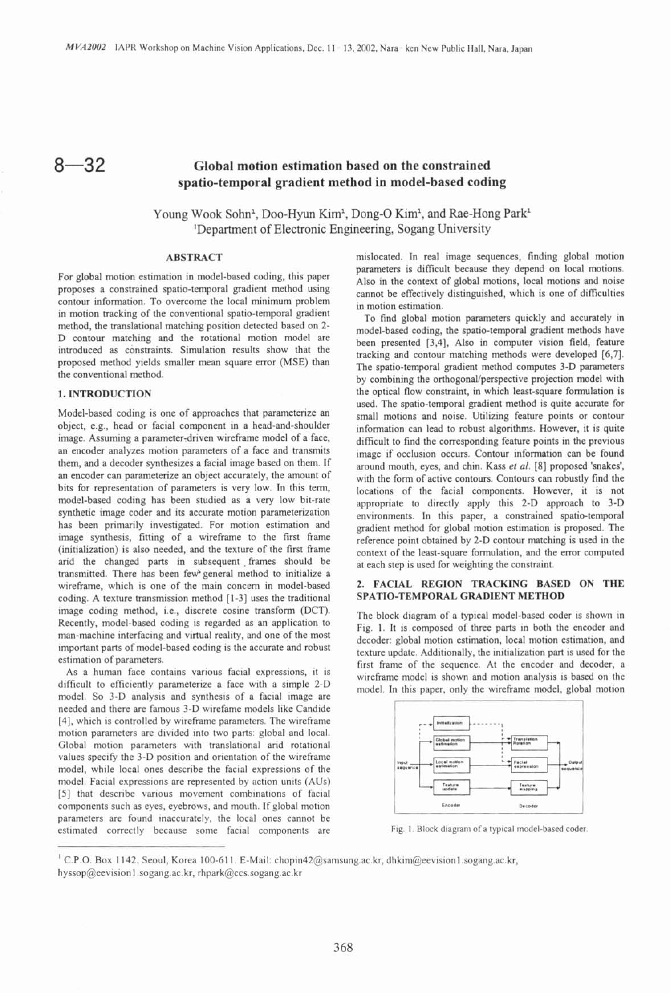$8 - 32$ 

# **Global motion estimation based on the constrained spatio-temporal gradient method in model-based coding**

Young Wook Sohn<sup>1</sup>, Doo-Hyun Kim<sup>1</sup>, Dong-O Kim<sup>1</sup>, and Rae-Hong Park<sup>1</sup> 'Department of Electronic Engineering, Sogang University

## **ABSTRACT**

For global motion estimation in model-based coding, this paper proposes a constrained spatio-temporal gradient method using contour information. To overcome the local minimum problem in motion tracking of the conventional spatio-temporal gradient method, the translational matching position detected based on 2- D contour matching and the rotational motion model are introduced as constraints. Simulation results show that the proposed method yields smaller mean square error **(MSE)** than the conventional method.

## **1. INTRODUCTION**

Model-based coding is one of approaches that parameterize an object, e.g., head or facial component in a head-and-shoulder image. Assuming a parameter-driven wireframe model of a face, an encoder analyzes motion parameters of a face and transmits them, and a decoder synthesizes a facial image based on them. If an encoder can parameterize an object accurately, the amount of bits for representation of parameters is very low. In this term, model-based coding has been studied as a very low bit-rate synthetic image coder and its accurate motion parameterization has been primarily investigated. For motion estimation and image synthesis, fitting of a wireframe to the first frame (initialization) is also needed, and the texture of the first frame arid the changed parts in subsequent. frames should be transmitted. There has been few'general method to initialize a wireframe, which is one of the main concern in model-based coding. A texture transmission method [1-3] uses the traditional image coding method, i.e., discrete cosine transform (DCT). Recently, model-based coding is regarded as an application to man-machine interfacing and virtual reality, and one of the most important parts of model-based coding is the accurate and robust estimation of parameters.

As a human face contains various facial expressions, it is difficult to efficiently parameterize a face with a simple 2-D model. So 3-D analysis and synthesis of a facial image are needed and there are famous 3-D wirefame models like Candide [4], which is controlled by wireframe parameters. The wireframe motion parameters are divided into two parts: global and local. Global motion parameters with translational arid rotational values specify the 3-D position and orientation of the wireframe model, while local ones describe the facial expressions of the model. Facial expressions are represented by action units (AUs) [5] that describe various movement combinations of facial components such as eyes, eyebrows, and mouth. If global motion parameters are found inaccurately, the local ones cannot be estimated correctly because some facial components are

mislocated. In real image sequences, finding global motion parameters is difficult because they depend on local motions. Also in the context of global motions, local motions and noise cannot be effectively distinguished, which is one of difficulties in motion estimation.

To find global motion parameters quickly and accurately in model-based coding, the spatio-temporal gradient methods have been presented [3,4], Also in computer vision field, feature tracking and contour matching methods were developed **[6,7].**  The spatio-temporal gradient method computes 3-D parameters by combining the orthogonal/perspective projection model with the optical flow constraint, in which least-square formulation is used. The spatio-temporal gradient method is quite accurate for small motions and noise. Utilizing feature points or contour information can lead to robust algorithms. However, it is quite difficult to find the corresponding feature points in the previous image if occlusion occurs. Contour information can be found around mouth, eyes, and chin. Kass et *al.* [a] proposed 'snakes', with the form of active contours. Contours can robustly find the locations of the facial components. However, it is not appropriate to directly apply this 2-D approach to 3-D environments. In this paper, a constrained spatio-temporal gradient method for global motion estimation is proposed. The reference point obtained by 2-D contour matching is used in the context of the least-square formulation, and the error computed at each step is used for weighting the constraint. s patio-temporal gradient method is quite accurate for<br>toms and noise. Utilizing feature points or contour<br>on can lead to robust algorithms. However, it is quite<br>o find the corresponding feature points in the previous<br>occu

### **2. FACIAL REGION TRACKING BASED ON THE SPATIO-TEMPORAL GRADIENT METHOD**

The block diagram of a typical model-based coder is shown in Fig. 1. It is composed of three parts in both the encoder and decoder: global motion estimation, local motion estimation, and texture update. Additionally, the initialization part is used for the first frame of the sequence. At the encoder and decoder, a wireframe model is shown and motion analysis is based on the model. In this paper, only the wireframe model, global motion



Fig. 1. Block diagram of a typical model-based coder.

C.P.O. Box 1142, Seoul, Korea 100-611. E-Mail: chopin42@samsung.ac.kr, dhkim@eevision1.sogang.ac.kr, hyssop@eevision I .sogang.ac.kr, rhpark@ccs.sogang.ac.kr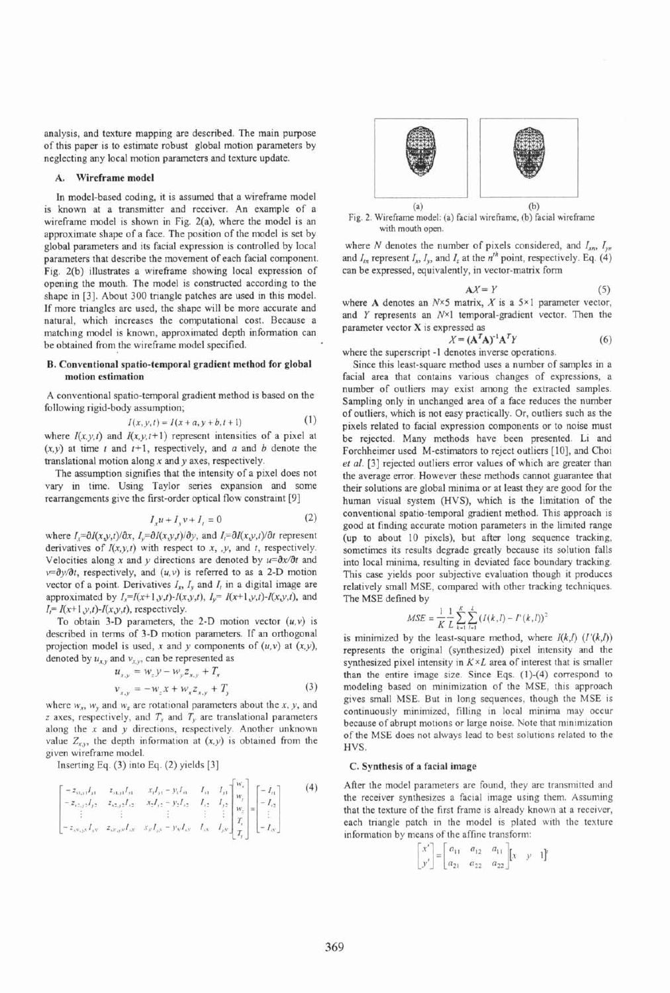analysis, and texture mapping are described. The main purpose of this paper is to estimate robust global motion parameters by neglecting any local motion parameters and texture update.

## **A.** Wireframe model

In model-based coding, it is assumed that a wireframe model is known at a transmitter and receiver. An example of a wireframe model is shown in Fig. 2(a), where the model is an approximate shape of a face. The position of the model is set by global parameters and its facial expression is controlled by local parameters that describe the movement of each facial component. Fig. 2(b) illustrates a wireframe showing local expression of opening the mouth. The model is constructed according to the shape in [3]. About 300 triangle patches are used in this model. If more triangles are used, the shape will be more accurate and natural, which increases the computational cost. Because a matching model is known, approximated depth information can be obtained from the wireframe model specified.

### B. Conventional spatio-temporal gradient method for global motion estimation

A conventional spatio-temporal gradient method is based on the following rigid-body assumption;

$$
I(x, y, t) = I(x + a, y + b, t + 1)
$$
 (1)

where  $I(x, y, t)$  and  $I(x, y, t+1)$  represent intensities of a pixel at  $(x, y)$  at time t and  $t+1$ , respectively, and a and b denote the translational motion along  $x$  and  $y$  axes, respectively.

The assumption signifies that the intensity of a pixel does not vary in time. Using Taylor series expansion and some rearrangements give the first-order optical flow constraint [9]

$$
I_x u + I_y v + I_t = 0 \tag{2}
$$

where  $I_x = \partial I(x,y,t)/\partial x$ ,  $I_y = \partial I(x,y,t)/\partial y$ , and  $I_t = \partial I(x,y,t)/\partial t$  represent derivatives of  $I(x, y, t)$  with respect to x, y, and t, respectively. Velocities along x and y directions are denoted by  $u=\partial x/\partial t$  and  $v=\partial y/\partial t$ , respectively, and  $(u,v)$  is referred to as a 2-D motion vector of a point. Derivatives  $I_x$ ,  $I_y$  and  $I_t$  in a digital image are approximated by  $I_x = I(x+1,y,t) - I(x,y,t)$ ,  $I_y = I(x+1,y,t) - I(x,y,t)$ , and  $I_i = I(x+1, y, t) - I(x, y, t)$ , respectively.

To obtain 3-D parameters, the 2-D motion vector  $(u, v)$  is described in terms of 3-D motion parameters. If an orthogonal projection model is used, x and y components of  $(u, v)$  at  $(x, y)$ ,

denoted by 
$$
u_{x,y}
$$
 and  $v_{x,y}$ , can be represented as  
\n
$$
u_{x,y} = w_z y - w_y z_{x,y} + T_x
$$
\n
$$
v_{x,y} = -w_z x + w_x z_{x,y} + T_y
$$
\n(3)

where  $w_x$ ,  $w_y$  and  $w_z$  are rotational parameters about the x, y, and  $z$  axes, respectively, and  $T<sub>x</sub>$  and  $T<sub>y</sub>$  are translational parameters along the **x** and y directions, respectively. Another unknown value  $Z_{x,y}$ , the depth information at  $(x,y)$  is obtained from the given wireframe model.

Inserting Eq. (3) into Eq. (2) yields [3]

$$
\begin{bmatrix}\n-z_{3x_{1}1}J_{31} & z_{3x_{2}1}J_{31} & x_{1}J_{31} - y_{1}J_{31} & I_{31} & I_{31} \\
-z_{3x_{2}2}J_{32} & z_{3x_{2}2}J_{33} & x_{2}J_{32} - y_{2}J_{32} & I_{32} & I_{32} \\
\vdots & \vdots & \vdots & \vdots & \vdots \\
-z_{3x_{3}3}J_{33} & z_{33}J_{34} & x_{3}J_{33} - y_{3}J_{33} & I_{33} & I_{33} \\
\vdots & \vdots & \vdots & \vdots & \vdots \\
-z_{3x_{3}3}J_{33} & z_{33}J_{34} & x_{3}J_{33} - y_{3}J_{33} & I_{33} & I_{33} \\
\end{bmatrix} = \begin{bmatrix}\nI_{n} \\
I_{n} \\
I_{n} \\
I_{n} \\
I_{n}\n\end{bmatrix}
$$
\n(4)



(a) **(b) Fig. 2.** Wireframe model: (a) facial wireframe, (b) facial wireframe with mouth open.

where N denotes the number of pixels considered, and  $I_{xn}$ ,  $I_{yn}$ and  $I_{in}$  represent  $I_{i}$ ,  $I_{v}$ , and  $I_{i}$  at the  $n^{th}$  point, respectively. Eq. (4) can be expressed, equivalently, in vector-matrix form

$$
AX = Y \tag{5}
$$

where A denotes an  $N \times 5$  matrix, X is a  $5 \times 1$  parameter vector, and  $Y$  represents an  $N \times 1$  temporal-gradient vector. Then the parameter vector X is expressed as

$$
X = (\mathbf{A}^T \mathbf{A})^{-1} \mathbf{A}^T Y \tag{6}
$$

where the superscript -1 denotes inverse operations.

Since this least-square method uses a number of samples in a facial area that contains various changes of expressions, a number of outliers may exist among the extracted samples. Sampling only in unchanged area of a face reduces the number of outliers, which is not easy practically. Or, outliers such as the pixels related to facial expression components or to noise must be rejected. Many methods have been presented. Li and Forchheimer used M-estimators to reject outliers [10], and Choi et *al.* [3] rejected outliers error values of which are greater than the average error. However these methods cannot guarantee that their solutions are global minima or at least they are good for the human visual system (HVS), which is the limitation of the conventional spatio-temporal gradient method. This approach is good at finding accurate motion parameters in the limited range (up to about 10 pixels), but after long sequence tracking, sometimes its results degrade greatly because its solution falls into local minima, resulting in deviated face boundary tracking. This case yields poor subjective evaluation though it produces relatively small MSE, compared with other tracking techniques. The MSE defined by

$$
MSE = \frac{1}{K} \frac{1}{L} \sum_{k=1}^{K} \sum_{l=1}^{L} (I(k,l) - I'(k,l))^2
$$

is minimized by the least-square method, where  $I(k,l)$  ( $I'(k,l)$ ) represents the original (synthesized) pixel intensity and the synthesized pixel intensity in  $K \times L$  area of interest that is smaller than the entire image size. Since Eqs. (1)-(4) correspond to modeling based on minimization of the MSE, this approach gives small MSE. But in long sequences, though the MSE is continuously minimized, filling in local minima may occur because of abrupt motions or large noise. Note that minimization of the MSE does not always lead to best solutions related to the HVS.

#### C. Synthesis of a facial image

After the model parameters are found, they are transmitted and the receiver synthesizes a facial image using them. Assuming that the texture of the first frame is already known at a receiver, each triangle patch in the model is plated with the texture information by means of the affine transfonn:

$$
\begin{bmatrix} x' \\ y' \end{bmatrix} = \begin{bmatrix} a_{11} & a_{12} & a_{11} \\ a_{21} & a_{22} & a_{22} \end{bmatrix} \begin{bmatrix} x & y & 1 \end{bmatrix}^T
$$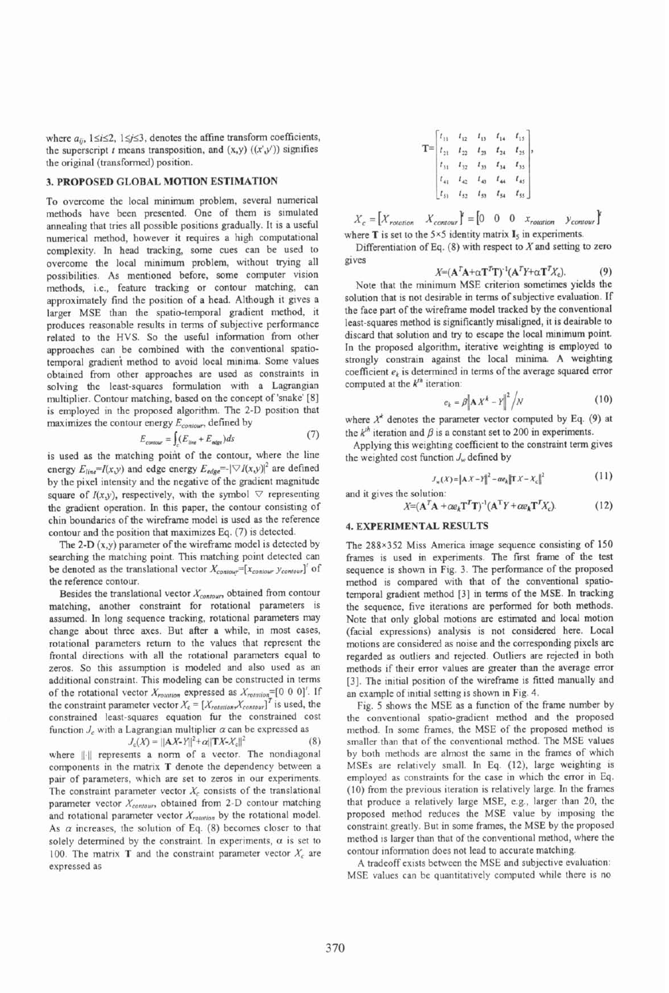where  $a_{ij}$ ,  $1 \le i \le 2$ ,  $1 \le j \le 3$ , denotes the affine transform coefficients, the superscript t means transposition, and  $(x,y)$   $((x',y'))$  signifies the original (transformed) position.

### 3. PROPOSED GLOBAL MOTION ESTIMATION

To overcome the local minimum problem, several numerical methods have been presented. One of them is simulated annealing that tries all possible positions gradually. It is a useful numerical method, however it requires a high computational complexity. In head tracking, some cues can be used to overcome the local minimum problem, without trying all possibilities. As mentioned before, some computer vision methods, i.e., feature tracking or contour matching, can approximately find the position of a head. Although it gives a larger MSE than the spatio-temporal gradient method, it produces reasonable results in terms of subjective performance related to the HVS. So the useful information from other approaches can be combined with the conventional spatiotemporal gradient method to avoid local minima. Some values obtained from other approaches are used as constraints in solving the least-squares formulation with a Lagrangian multiplier. Contour matching, based on the concept of 'snake' [8] is employed in the proposed algorithm. The **2-D** position that maximizes the contour energy  $E_{contour}$ , defined by

$$
E_{\text{conour}} = \int_{c} (E_{\text{line}} + E_{\text{edge}}) ds \tag{7}
$$

is used as the matching point of the contour, where the line energy  $E_{line} = I(x,y)$  and edge energy  $E_{edge} = |\nabla I(x,y)|^2$  are defined by the pixel intensity and the negative of the gradient magnitude square of  $I(x,y)$ , respectively, with the symbol  $\triangledown$  representing the gradient operation. In this paper, the contour consisting of chin boundaries of the wireframe model is used as the reference contour and the position that maximizes Eq. (7) is detected.

The 2-D (x,y) parameter of the wireframe model is detected by searching the matching point. This matching point detected can be denoted as the translational vector  $X_{\text{contour}} = [X_{\text{contour}}]$  of the reference contour.

Besides the translational vector  $X_{contour}$ , obtained from contour matching, another constraint for rotational parameters is assumed. In long sequence tracking, rotational parameters may change about three axes. But after a while, in most cases, rotational parameters return to the values that represent the frontal directions with all the rotational parameters equal to zeros. So this assumption is modeled and also used as an additional constraint. This modeling can be constructed in terms of the rotational vector  $X_{rotation}$  expressed as  $X_{rotation}=[0\;0\;0]'$ . If the constraint parameter vector  $X_c = \left[X_{rotation}X_{contour}\right]^T$  is used, the Fig. constrained least-squares equation fur the constrained cost inction  $J_c$  with a Lagrangian multiplier  $\alpha$  can be expressed as<br>  $J_c(X) = ||AX-Y||^2 + \alpha ||TX-X_c||^2$  (8)

$$
V_c(X) = ||AX - Y||^2 + \alpha ||TX - X_c||^2
$$
 (8)

where  $\| \cdot \|$  represents a norm of a vector. The nondiagonal components in the matrix T denote the dependency between a pair of parameters, which are set to zeros in our experiments. The constraint parameter vector  $X_c$  consists of the translational parameter vector  $X_{contour}$ , obtained from 2-D contour matching and rotational parameter vector  $X_{rotation}$  by the rotational model. As  $\alpha$  increases, the solution of Eq. (8) becomes closer to that solely determined by the constraint. In experiments,  $\alpha$  is set to 100. The matrix T and the constraint parameter vector  $X_c$  are expressed as

$$
\mathbf{T} = \begin{bmatrix} t_{11} & t_{12} & t_{13} & t_{14} & t_{15} \\ t_{21} & t_{22} & t_{23} & t_{24} & t_{25} \\ t_{31} & t_{32} & t_{33} & t_{34} & t_{35} \\ t_{41} & t_{42} & t_{43} & t_{44} & t_{45} \\ t_{51} & t_{52} & t_{53} & t_{54} & t_{55} \end{bmatrix},
$$

 $X_c = \begin{bmatrix} X_{rotation} & X_{conv} \end{bmatrix} = \begin{bmatrix} 0 & 0 & 0 & x_{rotation} & y_{conour} \end{bmatrix}$ where  $T$  is set to the 5×5 identity matrix  $I_5$  in experiments.

Differentiation of Eq.  $(8)$  with respect to  $X$  and setting to zero gives

 $X=(\mathbf{A}^T\mathbf{A}+\alpha\mathbf{T}^T\mathbf{T})^{-1}(\mathbf{A}^T Y+\alpha\mathbf{T}^T X_c).$  (9)

Note that the minimum MSE criterion sometimes yields the solution that is not desirable in terms of subjective evaluation. If the face part of the wireframe model tracked by the conventional least-squares method is significantly misaligned, it is deairable to discard that solution and **try** to escape the local minimum point. In the proposed algorithm, iterative weighting is employed to strongly constrain against the local minima. A weighting coefficient  $e_k$  is determined in terms of the average squared error computed at the  $k<sup>th</sup>$  iteration:

$$
e_k = \beta \left\| \mathbf{A} X^k - Y \right\|^2 / N \tag{10}
$$

where  $X^*$  denotes the parameter vector computed by Eq.  $(9)$  at the  $k<sup>th</sup>$  iteration and  $\beta$  is a constant set to 200 in experiments.

Applying this weighting coefficient to the constraint term gives the weighted cost function *J,* defined by

$$
J_w(X) = ||AX - Y||^2 - \alpha e_k ||TX - X_c||^2
$$
 (11)

and it gives the solution:  
\n
$$
\chi = (A^T A + \alpha e_k T^T T)^{-1} (A^T Y + \alpha e_k T^T X_c).
$$
\n(12)

# 4. EXPERIMENTAL RESULTS

The 288x352 Miss America image sequence consisting of 150 frames is used in experiments. The first frame of the test sequence is shown in Fig. 3. The performance of the proposed method is compared with that of the conventional spatiotemporal gradient method [3] in terns of the MSE. In tracking the sequence, five iterations are performed for both methods. Note that only global motions are estimated and local motion (facial expressions) analysis is not considered here. Local motions are considered as noise and the corresponding pixels are regarded as outliers and rejected. Outliers are rejected in both methods if their error values are greater than the average error [3]. The initial position of the wireframe is fitted manually and an example of initial setting is shown in Fig. 4.

Fig. 5 shows the MSE as a function of the frame number by the conventional spatio-gradient method and the proposed method. In some frames, the MSE of the proposed method is smaller than that of the conventional method. The MSE values by both methods are almost the same in the frames of which MSEs are relatively small. In Eq. (12), large weighting is employed as constraints for the case in which the error in Eq. (10) from the previous iteration is relatively large. In the frames that produce a relatively large MSE, e.g., larger than 20, the proposed method reduces the MSE value by imposing the constraint greatly. But in some frames, the MSE by the proposed method is larger than that of the conventional method, where the contour information does not lead to accurate matching.

A tradeoff exists between the MSE and subjective evaluation: MSE values can be quantitatively computed while there is no